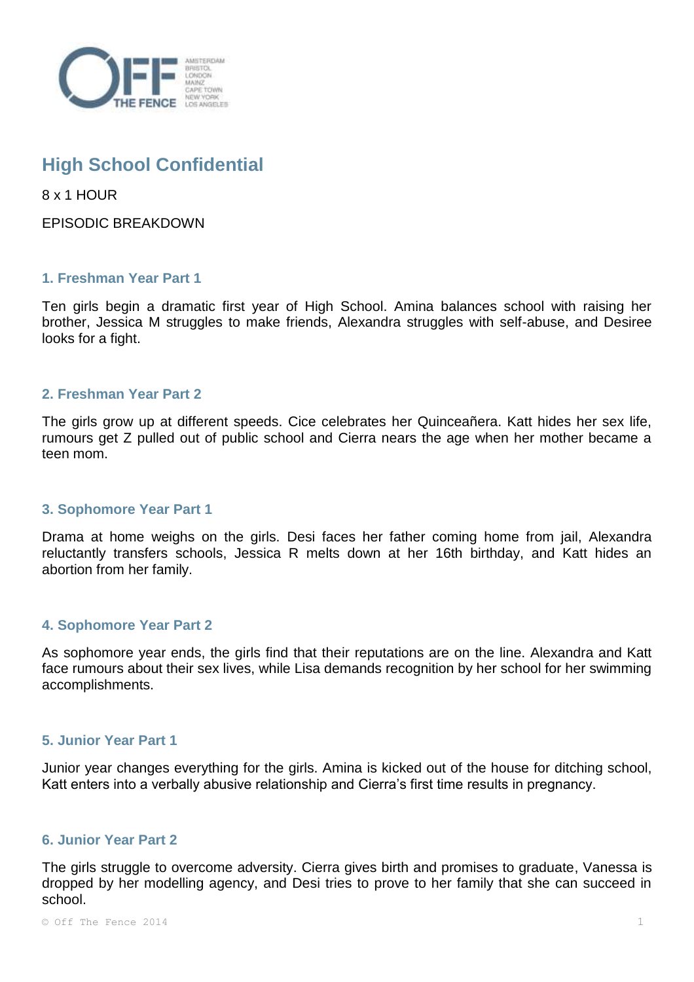

# **High School Confidential**

8 x 1 HOUR

EPISODIC BREAKDOWN

## **1. Freshman Year Part 1**

Ten girls begin a dramatic first year of High School. Amina balances school with raising her brother, Jessica M struggles to make friends, Alexandra struggles with self-abuse, and Desiree looks for a fight.

#### **2. Freshman Year Part 2**

The girls grow up at different speeds. Cice celebrates her Quinceañera. Katt hides her sex life, rumours get Z pulled out of public school and Cierra nears the age when her mother became a teen mom.

#### **3. Sophomore Year Part 1**

Drama at home weighs on the girls. Desi faces her father coming home from jail, Alexandra reluctantly transfers schools, Jessica R melts down at her 16th birthday, and Katt hides an abortion from her family.

# **4. Sophomore Year Part 2**

As sophomore year ends, the girls find that their reputations are on the line. Alexandra and Katt face rumours about their sex lives, while Lisa demands recognition by her school for her swimming accomplishments.

### **5. Junior Year Part 1**

Junior year changes everything for the girls. Amina is kicked out of the house for ditching school, Katt enters into a verbally abusive relationship and Cierra's first time results in pregnancy.

# **6. Junior Year Part 2**

The girls struggle to overcome adversity. Cierra gives birth and promises to graduate, Vanessa is dropped by her modelling agency, and Desi tries to prove to her family that she can succeed in school.